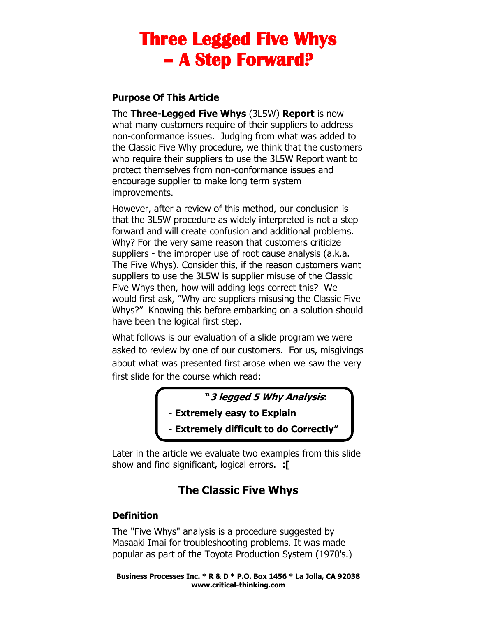### **Purpose Of This Article**

The **Three-Legged Five Whys** (3L5W) **Report** is now what many customers require of their suppliers to address non-conformance issues. Judging from what was added to the Classic Five Why procedure, we think that the customers who require their suppliers to use the 3L5W Report want to protect themselves from non-conformance issues and encourage supplier to make long term system improvements.

However, after a review of this method, our conclusion is that the 3L5W procedure as widely interpreted is not a step forward and will create confusion and additional problems. Why? For the very same reason that customers criticize suppliers - the improper use of root cause analysis (a.k.a. The Five Whys). Consider this, if the reason customers want suppliers to use the 3L5W is supplier misuse of the Classic Five Whys then, how will adding legs correct this? We would first ask, "Why are suppliers misusing the Classic Five Whys?" Knowing this before embarking on a solution should have been the logical first step.

What follows is our evaluation of a slide program we were asked to review by one of our customers. For us, misgivings about what was presented first arose when we saw the very first slide for the course which read:

**"3 legged 5 Why Analysis:**

- **- Extremely easy to Explain**
- **- Extremely difficult to do Correctly"**

Later in the article we evaluate two examples from this slide show and find significant, logical errors. **:[**

# **The Classic Five Whys**

### **Definition**

The "Five Whys" analysis is a procedure suggested by Masaaki Imai for troubleshooting problems. It was made popular as part of the Toyota Production System (1970's.)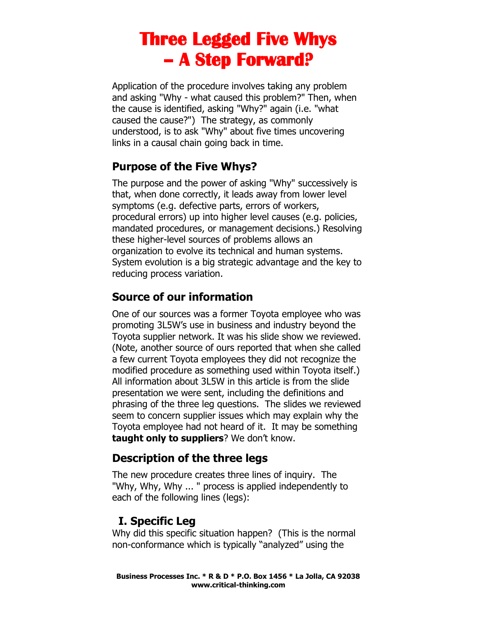Application of the procedure involves taking any problem and asking "Why - what caused this problem?" Then, when the cause is identified, asking "Why?" again (i.e. "what caused the cause?") The strategy, as commonly understood, is to ask "Why" about five times uncovering links in a causal chain going back in time.

## **Purpose of the Five Whys?**

The purpose and the power of asking "Why" successively is that, when done correctly, it leads away from lower level symptoms (e.g. defective parts, errors of workers, procedural errors) up into higher level causes (e.g. policies, mandated procedures, or management decisions.) Resolving these higher-level sources of problems allows an organization to evolve its technical and human systems. System evolution is a big strategic advantage and the key to reducing process variation.

# **Source of our information**

One of our sources was a former Toyota employee who was promoting 3L5W's use in business and industry beyond the Toyota supplier network. It was his slide show we reviewed. (Note, another source of ours reported that when she called a few current Toyota employees they did not recognize the modified procedure as something used within Toyota itself.) All information about 3L5W in this article is from the slide presentation we were sent, including the definitions and phrasing of the three leg questions. The slides we reviewed seem to concern supplier issues which may explain why the Toyota employee had not heard of it. It may be something **taught only to suppliers**? We don't know.

## **Description of the three legs**

The new procedure creates three lines of inquiry. The "Why, Why, Why ... " process is applied independently to each of the following lines (legs):

## **I. Specific Leg**

Why did this specific situation happen? (This is the normal non-conformance which is typically "analyzed" using the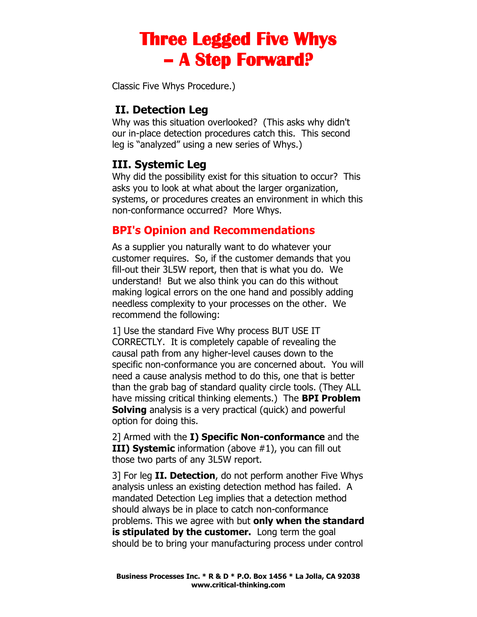Classic Five Whys Procedure.)

## **II. Detection Leg**

Why was this situation overlooked? (This asks why didn't our in-place detection procedures catch this. This second leg is "analyzed" using a new series of Whys.)

### **III. Systemic Leg**

Why did the possibility exist for this situation to occur? This asks you to look at what about the larger organization, systems, or procedures creates an environment in which this non-conformance occurred? More Whys.

## **BPI's Opinion and Recommendations**

As a supplier you naturally want to do whatever your customer requires. So, if the customer demands that you fill-out their 3L5W report, then that is what you do. We understand! But we also think you can do this without making logical errors on the one hand and possibly adding needless complexity to your processes on the other. We recommend the following:

1] Use the standard Five Why process BUT USE IT CORRECTLY. It is completely capable of revealing the causal path from any higher-level causes down to the specific non-conformance you are concerned about. You will need a cause analysis method to do this, one that is better than the grab bag of standard quality circle tools. (They ALL have missing critical thinking elements.) The **BPI Problem Solving** analysis is a very practical (quick) and powerful option for doing this.

2] Armed with the **I) Specific Non-conformance** and the **III) Systemic** information (above #1), you can fill out those two parts of any 3L5W report.

3] For leg **II. Detection**, do not perform another Five Whys analysis unless an existing detection method has failed. A mandated Detection Leg implies that a detection method should always be in place to catch non-conformance problems. This we agree with but **only when the standard is stipulated by the customer.** Long term the goal should be to bring your manufacturing process under control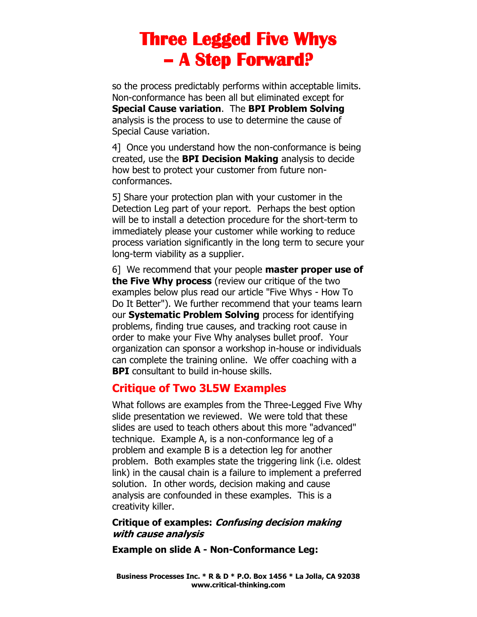so the process predictably performs within acceptable limits. Non-conformance has been all but eliminated except for **Special Cause variation**. The **BPI Problem Solving** analysis is the process to use to determine the cause of Special Cause variation.

4] Once you understand how the non-conformance is being created, use the **BPI Decision Making** analysis to decide how best to protect your customer from future nonconformances.

5] Share your protection plan with your customer in the Detection Leg part of your report. Perhaps the best option will be to install a detection procedure for the short-term to immediately please your customer while working to reduce process variation significantly in the long term to secure your long-term viability as a supplier.

6] We recommend that your people **master proper use of the Five Why process** (review our critique of the two examples below plus read our article "Five Whys - How To Do It Better"). We further recommend that your teams learn our **Systematic Problem Solving** process for identifying problems, finding true causes, and tracking root cause in order to make your Five Why analyses bullet proof. Your organization can sponsor a workshop in-house or individuals can complete the training online. We offer coaching with a **BPI** consultant to build in-house skills.

### **Critique of Two 3L5W Examples**

What follows are examples from the Three-Legged Five Why slide presentation we reviewed. We were told that these slides are used to teach others about this more "advanced" technique. Example A, is a non-conformance leg of a problem and example B is a detection leg for another problem. Both examples state the triggering link (i.e. oldest link) in the causal chain is a failure to implement a preferred solution. In other words, decision making and cause analysis are confounded in these examples. This is a creativity killer.

### **Critique of examples: Confusing decision making with cause analysis**

**Example on slide A - Non-Conformance Leg:**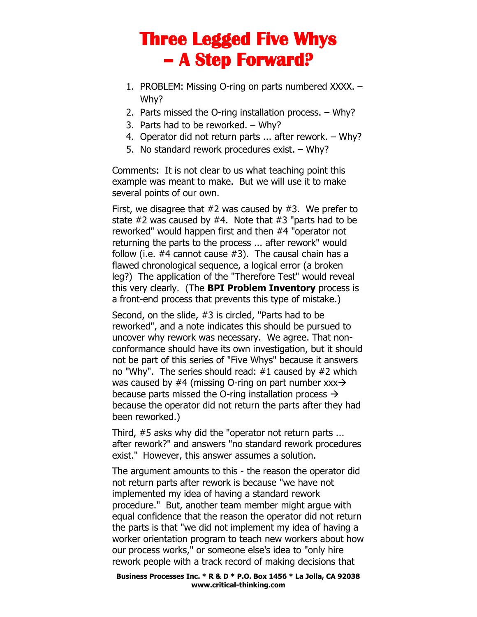- 1. PROBLEM: Missing O-ring on parts numbered XXXX. Why?
- 2. Parts missed the O-ring installation process. Why?
- 3. Parts had to be reworked. Why?
- 4. Operator did not return parts ... after rework. Why?
- 5. No standard rework procedures exist. Why?

Comments: It is not clear to us what teaching point this example was meant to make. But we will use it to make several points of our own.

First, we disagree that  $#2$  was caused by  $#3$ . We prefer to state  $#2$  was caused by  $#4$ . Note that  $#3$  "parts had to be reworked" would happen first and then #4 "operator not returning the parts to the process ... after rework" would follow (i.e.  $#4$  cannot cause  $#3$ ). The causal chain has a flawed chronological sequence, a logical error (a broken leg?) The application of the "Therefore Test" would reveal this very clearly. (The **BPI Problem Inventory** process is a front-end process that prevents this type of mistake.)

Second, on the slide, #3 is circled, "Parts had to be reworked", and a note indicates this should be pursued to uncover why rework was necessary. We agree. That nonconformance should have its own investigation, but it should not be part of this series of "Five Whys" because it answers no "Why". The series should read: #1 caused by #2 which was caused by #4 (missing O-ring on part number  $xxx \rightarrow$ because parts missed the O-ring installation process  $\rightarrow$ because the operator did not return the parts after they had been reworked.)

Third, #5 asks why did the "operator not return parts ... after rework?" and answers "no standard rework procedures exist." However, this answer assumes a solution.

The argument amounts to this - the reason the operator did not return parts after rework is because "we have not implemented my idea of having a standard rework procedure." But, another team member might argue with equal confidence that the reason the operator did not return the parts is that "we did not implement my idea of having a worker orientation program to teach new workers about how our process works," or someone else's idea to "only hire rework people with a track record of making decisions that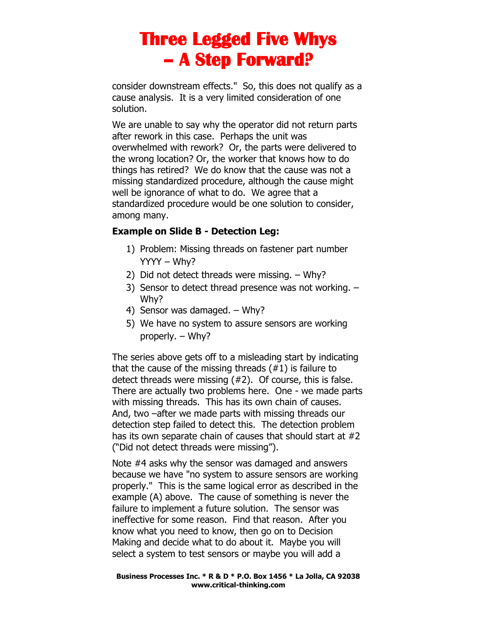consider downstream effects." So, this does not qualify as a cause analysis. It is a very limited consideration of one solution.

We are unable to say why the operator did not return parts after rework in this case. Perhaps the unit was overwhelmed with rework? Or, the parts were delivered to the wrong location? Or, the worker that knows how to do things has retired? We do know that the cause was not a missing standardized procedure, although the cause might well be ignorance of what to do. We agree that a standardized procedure would be one solution to consider, among many.

### **Example on Slide B - Detection Leg:**

- 1) Problem: Missing threads on fastener part number YYYY – Why?
- 2) Did not detect threads were missing. Why?
- 3) Sensor to detect thread presence was not working. Why?
- 4) Sensor was damaged. Why?
- 5) We have no system to assure sensors are working properly. – Why?

The series above gets off to a misleading start by indicating that the cause of the missing threads (#1) is failure to detect threads were missing (#2). Of course, this is false. There are actually two problems here. One - we made parts with missing threads. This has its own chain of causes. And, two –after we made parts with missing threads our detection step failed to detect this. The detection problem has its own separate chain of causes that should start at #2 ("Did not detect threads were missing").

Note #4 asks why the sensor was damaged and answers because we have "no system to assure sensors are working properly." This is the same logical error as described in the example (A) above. The cause of something is never the failure to implement a future solution. The sensor was ineffective for some reason. Find that reason. After you know what you need to know, then go on to Decision Making and decide what to do about it. Maybe you will select a system to test sensors or maybe you will add a